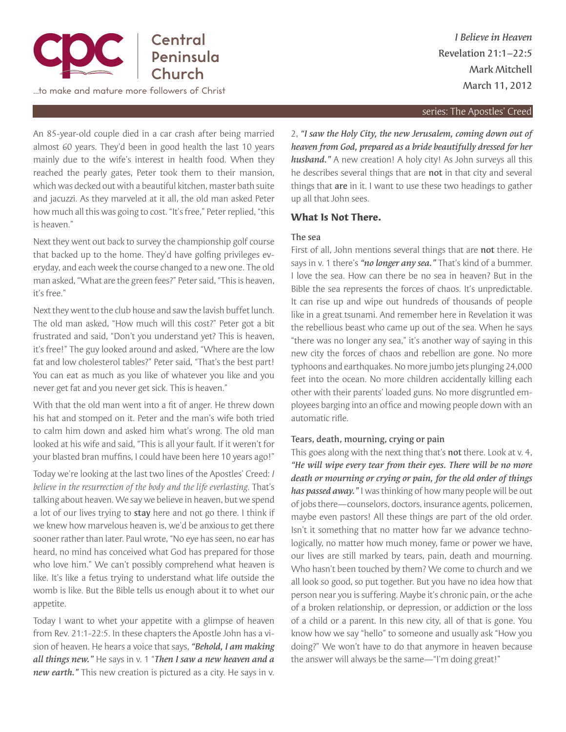

…to make and mature more followers of Christ

*I Believe in Heaven* Revelation 21:1–22:5 Mark Mitchell March 11, 2012

#### series: The Apostles' Creed

An 85-year-old couple died in a car crash after being married almost 60 years. They'd been in good health the last 10 years mainly due to the wife's interest in health food. When they reached the pearly gates, Peter took them to their mansion, which was decked out with a beautiful kitchen, master bath suite and jacuzzi. As they marveled at it all, the old man asked Peter how much all this was going to cost. "It's free," Peter replied, "this is heaven."

Next they went out back to survey the championship golf course that backed up to the home. They'd have golfing privileges everyday, and each week the course changed to a new one. The old man asked, "What are the green fees?" Peter said, "This is heaven, it's free."

Next they went to the club house and saw the lavish buffet lunch. The old man asked, "How much will this cost?" Peter got a bit frustrated and said, "Don't you understand yet? This is heaven, it's free!" The guy looked around and asked, "Where are the low fat and low cholesterol tables?" Peter said, "That's the best part! You can eat as much as you like of whatever you like and you never get fat and you never get sick. This is heaven."

With that the old man went into a fit of anger. He threw down his hat and stomped on it. Peter and the man's wife both tried to calm him down and asked him what's wrong. The old man looked at his wife and said, "This is all your fault. If it weren't for your blasted bran muffins, I could have been here 10 years ago!"

Today we're looking at the last two lines of the Apostles' Creed: *I believe in the resurrection of the body and the life everlasting*. That's talking about heaven. We say we believe in heaven, but we spend a lot of our lives trying to stay here and not go there. I think if we knew how marvelous heaven is, we'd be anxious to get there sooner rather than later. Paul wrote, "No eye has seen, no ear has heard, no mind has conceived what God has prepared for those who love him." We can't possibly comprehend what heaven is like. It's like a fetus trying to understand what life outside the womb is like. But the Bible tells us enough about it to whet our appetite.

Today I want to whet your appetite with a glimpse of heaven from Rev. 21:1-22:5. In these chapters the Apostle John has a vision of heaven. He hears a voice that says, *"Behold, I am making all things new."* He says in v. 1 "*Then I saw a new heaven and a new earth."* This new creation is pictured as a city. He says in v.

2, *"I saw the Holy City, the new Jerusalem, coming down out of heaven from God, prepared as a bride beautifully dressed for her husband."* A new creation! A holy city! As John surveys all this he describes several things that are not in that city and several things that are in it. I want to use these two headings to gather up all that John sees.

## **What Is Not There.**

### The sea

First of all, John mentions several things that are not there. He says in v. 1 there's *"no longer any sea."* That's kind of a bummer. I love the sea. How can there be no sea in heaven? But in the Bible the sea represents the forces of chaos. It's unpredictable. It can rise up and wipe out hundreds of thousands of people like in a great tsunami. And remember here in Revelation it was the rebellious beast who came up out of the sea. When he says "there was no longer any sea," it's another way of saying in this new city the forces of chaos and rebellion are gone. No more typhoons and earthquakes. No more jumbo jets plunging 24,000 feet into the ocean. No more children accidentally killing each other with their parents' loaded guns. No more disgruntled employees barging into an office and mowing people down with an automatic rifle.

### Tears, death, mourning, crying or pain

This goes along with the next thing that's not there. Look at v. 4, *"He will wipe every tear from their eyes. There will be no more death or mourning or crying or pain, for the old order of things has passed away."* I was thinking of how many people will be out of jobs there—counselors, doctors, insurance agents, policemen, maybe even pastors! All these things are part of the old order. Isn't it something that no matter how far we advance technologically, no matter how much money, fame or power we have, our lives are still marked by tears, pain, death and mourning. Who hasn't been touched by them? We come to church and we all look so good, so put together. But you have no idea how that person near you is suffering. Maybe it's chronic pain, or the ache of a broken relationship, or depression, or addiction or the loss of a child or a parent. In this new city, all of that is gone. You know how we say "hello" to someone and usually ask "How you doing?" We won't have to do that anymore in heaven because the answer will always be the same—"I'm doing great!"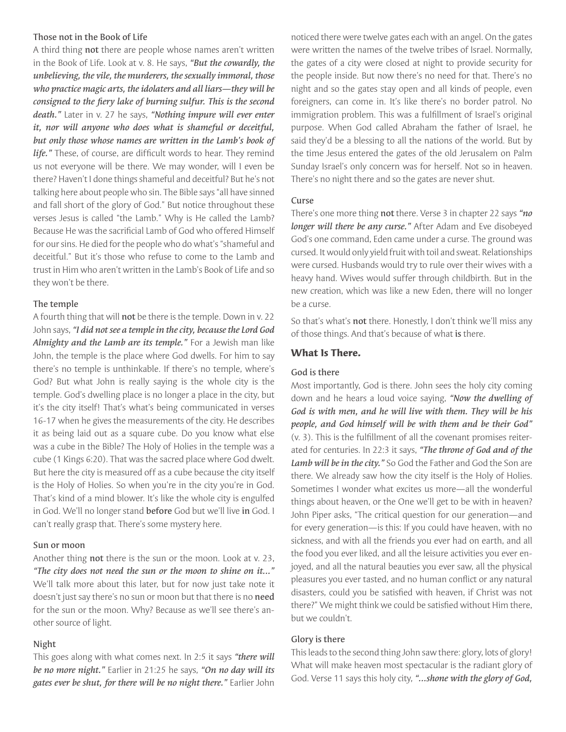### Those not in the Book of Life

A third thing not there are people whose names aren't written in the Book of Life. Look at v. 8. He says, *"But the cowardly, the unbelieving, the vile, the murderers, the sexually immoral, those who practice magic arts, the idolaters and all liars—they will be consigned to the fiery lake of burning sulfur. This is the second death."* Later in v. 27 he says, *"Nothing impure will ever enter it, nor will anyone who does what is shameful or deceitful, but only those whose names are written in the Lamb's book of life."* These, of course, are difficult words to hear. They remind us not everyone will be there. We may wonder, will I even be there? Haven't I done things shameful and deceitful? But he's not talking here about people who sin. The Bible says "all have sinned and fall short of the glory of God." But notice throughout these verses Jesus is called "the Lamb." Why is He called the Lamb? Because He was the sacrificial Lamb of God who offered Himself for our sins. He died for the people who do what's "shameful and deceitful." But it's those who refuse to come to the Lamb and trust in Him who aren't written in the Lamb's Book of Life and so they won't be there.

## The temple

A fourth thing that will not be there is the temple. Down in v. 22 John says, *"I did not see a temple in the city, because the Lord God Almighty and the Lamb are its temple."* For a Jewish man like John, the temple is the place where God dwells. For him to say there's no temple is unthinkable. If there's no temple, where's God? But what John is really saying is the whole city is the temple. God's dwelling place is no longer a place in the city, but it's the city itself! That's what's being communicated in verses 16-17 when he gives the measurements of the city. He describes it as being laid out as a square cube. Do you know what else was a cube in the Bible? The Holy of Holies in the temple was a cube (1 Kings 6:20). That was the sacred place where God dwelt. But here the city is measured off as a cube because the city itself is the Holy of Holies. So when you're in the city you're in God. That's kind of a mind blower. It's like the whole city is engulfed in God. We'll no longer stand before God but we'll live in God. I can't really grasp that. There's some mystery here.

### Sun or moon

Another thing **not** there is the sun or the moon. Look at v. 23, *"The city does not need the sun or the moon to shine on it..."*  We'll talk more about this later, but for now just take note it doesn't just say there's no sun or moon but that there is no need for the sun or the moon. Why? Because as we'll see there's another source of light.

### Night

This goes along with what comes next. In 2:5 it says *"there will be no more night."* Earlier in 21:25 he says, *"On no day will its gates ever be shut, for there will be no night there."* Earlier John noticed there were twelve gates each with an angel. On the gates were written the names of the twelve tribes of Israel. Normally, the gates of a city were closed at night to provide security for the people inside. But now there's no need for that. There's no night and so the gates stay open and all kinds of people, even foreigners, can come in. It's like there's no border patrol. No immigration problem. This was a fulfillment of Israel's original purpose. When God called Abraham the father of Israel, he said they'd be a blessing to all the nations of the world. But by the time Jesus entered the gates of the old Jerusalem on Palm Sunday Israel's only concern was for herself. Not so in heaven. There's no night there and so the gates are never shut.

### Curse

There's one more thing not there. Verse 3 in chapter 22 says *"no longer will there be any curse."* After Adam and Eve disobeyed God's one command, Eden came under a curse. The ground was cursed. It would only yield fruit with toil and sweat. Relationships were cursed. Husbands would try to rule over their wives with a heavy hand. Wives would suffer through childbirth. But in the new creation, which was like a new Eden, there will no longer be a curse.

So that's what's not there. Honestly, I don't think we'll miss any of those things. And that's because of what is there.

# **What Is There.**

### God is there

Most importantly, God is there. John sees the holy city coming down and he hears a loud voice saying, *"Now the dwelling of God is with men, and he will live with them. They will be his people, and God himself will be with them and be their God"*  (v. 3). This is the fulfillment of all the covenant promises reiterated for centuries. In 22:3 it says, *"The throne of God and of the Lamb will be in the city."* So God the Father and God the Son are there. We already saw how the city itself is the Holy of Holies. Sometimes I wonder what excites us more—all the wonderful things about heaven, or the One we'll get to be with in heaven? John Piper asks, "The critical question for our generation—and for every generation—is this: If you could have heaven, with no sickness, and with all the friends you ever had on earth, and all the food you ever liked, and all the leisure activities you ever enjoyed, and all the natural beauties you ever saw, all the physical pleasures you ever tasted, and no human conflict or any natural disasters, could you be satisfied with heaven, if Christ was not there?" We might think we could be satisfied without Him there, but we couldn't.

# Glory is there

This leads to the second thing John saw there: glory, lots of glory! What will make heaven most spectacular is the radiant glory of God. Verse 11 says this holy city, *"...shone with the glory of God,*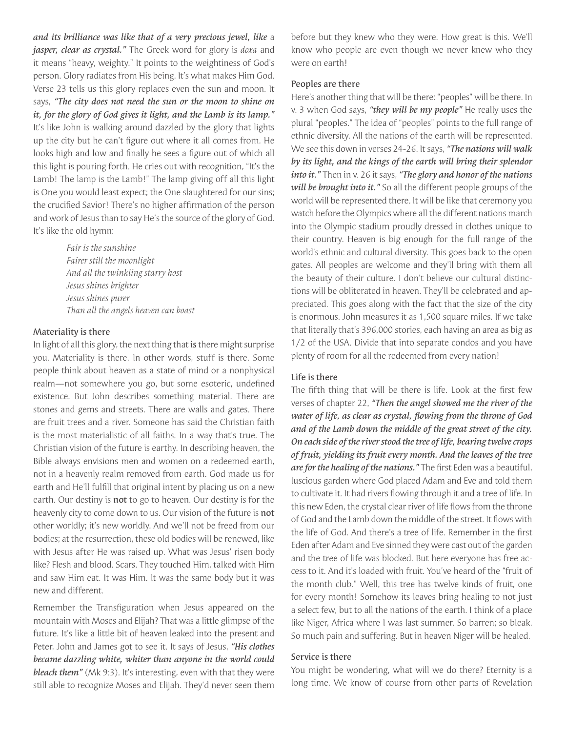*and its brilliance was like that of a very precious jewel, like* a *jasper, clear as crystal."* The Greek word for glory is *doxa* and it means "heavy, weighty." It points to the weightiness of God's person. Glory radiates from His being. It's what makes Him God. Verse 23 tells us this glory replaces even the sun and moon. It says, *"The city does not need the sun or the moon to shine on it, for the glory of God gives it light, and the Lamb is its lamp."*  It's like John is walking around dazzled by the glory that lights up the city but he can't figure out where it all comes from. He looks high and low and finally he sees a figure out of which all this light is pouring forth. He cries out with recognition, "It's the Lamb! The lamp is the Lamb!" The lamp giving off all this light is One you would least expect; the One slaughtered for our sins; the crucified Savior! There's no higher affirmation of the person and work of Jesus than to say He's the source of the glory of God. It's like the old hymn:

> *Fair is the sunshine Fairer still the moonlight And all the twinkling starry host Jesus shines brighter Jesus shines purer Than all the angels heaven can boast*

### Materiality is there

In light of all this glory, the next thing that is there might surprise you. Materiality is there. In other words, stuff is there. Some people think about heaven as a state of mind or a nonphysical realm—not somewhere you go, but some esoteric, undefined existence. But John describes something material. There are stones and gems and streets. There are walls and gates. There are fruit trees and a river. Someone has said the Christian faith is the most materialistic of all faiths. In a way that's true. The Christian vision of the future is earthy. In describing heaven, the Bible always envisions men and women on a redeemed earth, not in a heavenly realm removed from earth. God made us for earth and He'll fulfill that original intent by placing us on a new earth. Our destiny is not to go to heaven. Our destiny is for the heavenly city to come down to us. Our vision of the future is not other worldly; it's new worldly. And we'll not be freed from our bodies; at the resurrection, these old bodies will be renewed, like with Jesus after He was raised up. What was Jesus' risen body like? Flesh and blood. Scars. They touched Him, talked with Him and saw Him eat. It was Him. It was the same body but it was new and different.

Remember the Transfiguration when Jesus appeared on the mountain with Moses and Elijah? That was a little glimpse of the future. It's like a little bit of heaven leaked into the present and Peter, John and James got to see it. It says of Jesus, *"His clothes became dazzling white, whiter than anyone in the world could bleach them"* (Mk 9:3). It's interesting, even with that they were still able to recognize Moses and Elijah. They'd never seen them before but they knew who they were. How great is this. We'll know who people are even though we never knew who they were on earth!

# Peoples are there

Here's another thing that will be there: "peoples" will be there. In v. 3 when God says, *"they will be my people"* He really uses the plural "peoples." The idea of "peoples" points to the full range of ethnic diversity. All the nations of the earth will be represented. We see this down in verses 24-26. It says, *"The nations will walk by its light, and the kings of the earth will bring their splendor into it."* Then in v. 26 it says, *"The glory and honor of the nations will be brought into it."* So all the different people groups of the world will be represented there. It will be like that ceremony you watch before the Olympics where all the different nations march into the Olympic stadium proudly dressed in clothes unique to their country. Heaven is big enough for the full range of the world's ethnic and cultural diversity. This goes back to the open gates. All peoples are welcome and they'll bring with them all the beauty of their culture. I don't believe our cultural distinctions will be obliterated in heaven. They'll be celebrated and appreciated. This goes along with the fact that the size of the city is enormous. John measures it as 1,500 square miles. If we take that literally that's 396,000 stories, each having an area as big as 1/2 of the USA. Divide that into separate condos and you have plenty of room for all the redeemed from every nation!

# Life is there

The fifth thing that will be there is life. Look at the first few verses of chapter 22, *"Then the angel showed me the river of the water of life, as clear as crystal, flowing from the throne of God and of the Lamb down the middle of the great street of the city. On each side of the river stood the tree of life, bearing twelve crops of fruit, yielding its fruit every month. And the leaves of the tree are for the healing of the nations."* The first Eden was a beautiful, luscious garden where God placed Adam and Eve and told them to cultivate it. It had rivers flowing through it and a tree of life. In this new Eden, the crystal clear river of life flows from the throne of God and the Lamb down the middle of the street. It flows with the life of God. And there's a tree of life. Remember in the first Eden after Adam and Eve sinned they were cast out of the garden and the tree of life was blocked. But here everyone has free access to it. And it's loaded with fruit. You've heard of the "fruit of the month club." Well, this tree has twelve kinds of fruit, one for every month! Somehow its leaves bring healing to not just a select few, but to all the nations of the earth. I think of a place like Niger, Africa where I was last summer. So barren; so bleak. So much pain and suffering. But in heaven Niger will be healed.

## Service is there

You might be wondering, what will we do there? Eternity is a long time. We know of course from other parts of Revelation